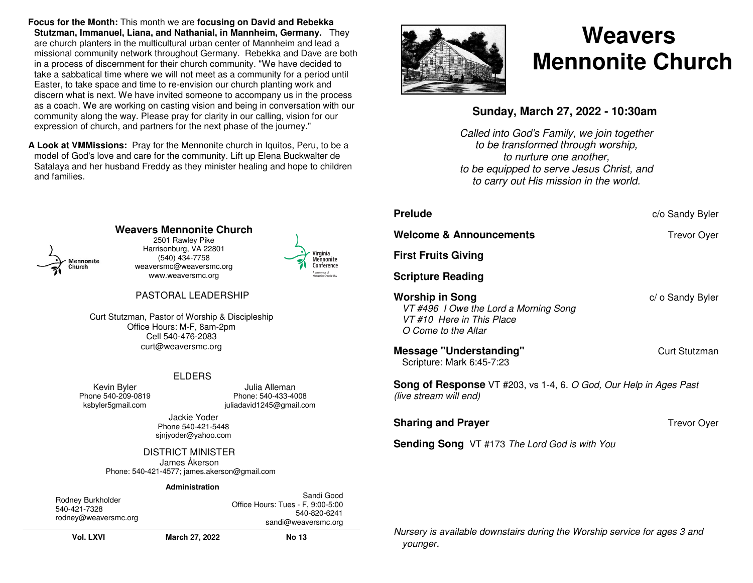**Focus for the Month:** This month we are **focusing on David and Rebekka Stutzman, Immanuel, Liana, and Nathanial, in Mannheim, Germany.** They are church planters in the multicultural urban center of Mannheim and lead a missional community network throughout Germany. Rebekka and Dave are both in a process of discernment for their church community. "We have decided to take a sabbatical time where we will not meet as a community for a period until Easter, to take space and time to re-envision our church planting work and discern what is next. We have invited someone to accompany us in the process as a coach. We are working on casting vision and being in conversation with our community along the way. Please pray for clarity in our calling, vision for our expression of church, and partners for the next phase of the journey."

**A Look at VMMissions:** Pray for the Mennonite church in Iquitos, Peru, to be a model of God's love and care for the community. Lift up Elena Buckwalter de Satalaya and her husband Freddy as they minister healing and hope to children and families.



# **Weavers Mennonite Church**

2501 Rawley Pike Harrisonburg, VA 22801 (540) 434-7758 weaversmc@weaversmc.org www.weaversmc.org



## PASTORAL LEADERSHIP

Curt Stutzman, Pastor of Worship & Discipleship Office Hours: M-F, 8am-2pm Cell 540-476-2083 curt@weaversmc.org

### ELDERS

Kevin Byler Phone 540-209-0819ksbyler5gmail.com

Julia Alleman Phone: 540-433-4008 juliadavid1245@gmail.com

Jackie Yoder Phone 540-421-5448 sjnjyoder@yahoo.com

DISTRICT MINISTER

Phone: 540-421-4577; james.akerson@gmail.com James Åkerson

#### **Administration**

| Rodney Burkholder<br>540-421-7328<br>rodney@weaversmc.org |                | Sandi Good<br>Office Hours: Tues - F, 9:00-5:00<br>540-820-6241<br>sandi@weaversmc.org |
|-----------------------------------------------------------|----------------|----------------------------------------------------------------------------------------|
| <b>Vol. LXVI</b>                                          | March 27, 2022 | <b>No 13</b>                                                                           |



# **Weavers Mennonite Church**

# **Sunday, March 27, 2022 - 10:30am**

Called into God's Family, we join together to be transformed through worship, to nurture one another, to be equipped to serve Jesus Christ, and to carry out His mission in the world.

| <b>Prelude</b>                                                                                                       | c/o Sandy Byler    |  |  |
|----------------------------------------------------------------------------------------------------------------------|--------------------|--|--|
| Welcome & Announcements                                                                                              | <b>Trevor Oyer</b> |  |  |
| <b>First Fruits Giving</b>                                                                                           |                    |  |  |
| <b>Scripture Reading</b>                                                                                             |                    |  |  |
| <b>Worship in Song</b><br>VT #496 I Owe the Lord a Morning Song<br>VT #10. Here in This Place<br>O Come to the Altar | c/ o Sandy Byler   |  |  |
| <b>Message "Understanding"</b><br>Scripture: Mark 6:45-7:23                                                          | Curt Stutzman      |  |  |
| <b>Song of Response</b> VT #203, vs 1-4, 6. O God, Our Help in Ages Past<br>(live stream will end)                   |                    |  |  |
| <b>Sharing and Prayer</b>                                                                                            | <b>Trevor Oyer</b> |  |  |
| <b>Sending Song</b> VT #173 The Lord God is with You                                                                 |                    |  |  |
|                                                                                                                      |                    |  |  |
|                                                                                                                      |                    |  |  |

Nursery is available downstairs during the Worship service for ages 3 and younger.